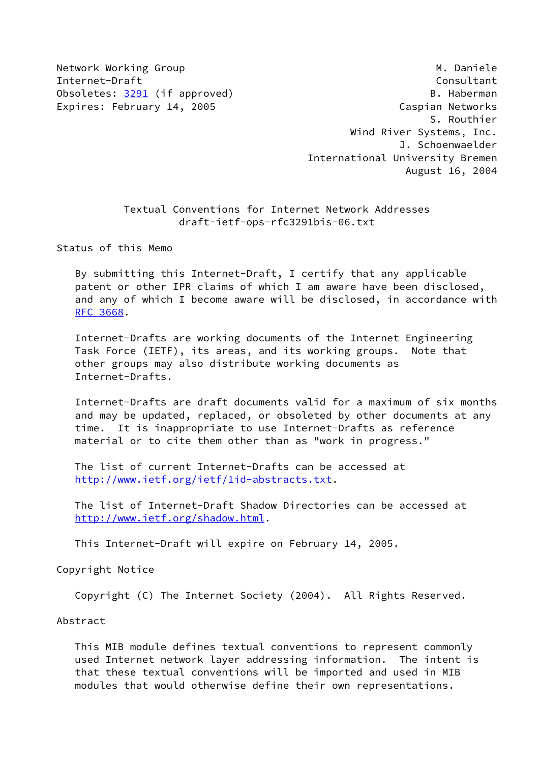Network Working Group Manuscript Communication of the Muslim Muslim Muslim Muslim Muslim Muslim Muslim Muslim M Internet-Draft Consultant Obsoletes: [3291](https://datatracker.ietf.org/doc/pdf/rfc3291) (if approved) and the control of the B. Haberman Expires: February 14, 2005 Caspian Networks S. Routhier Wind River Systems, Inc. J. Schoenwaelder International University Bremen August 16, 2004

## Textual Conventions for Internet Network Addresses draft-ietf-ops-rfc3291bis-06.txt

Status of this Memo

 By submitting this Internet-Draft, I certify that any applicable patent or other IPR claims of which I am aware have been disclosed, and any of which I become aware will be disclosed, in accordance with [RFC 3668](https://datatracker.ietf.org/doc/pdf/rfc3668).

 Internet-Drafts are working documents of the Internet Engineering Task Force (IETF), its areas, and its working groups. Note that other groups may also distribute working documents as Internet-Drafts.

 Internet-Drafts are draft documents valid for a maximum of six months and may be updated, replaced, or obsoleted by other documents at any time. It is inappropriate to use Internet-Drafts as reference material or to cite them other than as "work in progress."

 The list of current Internet-Drafts can be accessed at <http://www.ietf.org/ietf/1id-abstracts.txt>.

 The list of Internet-Draft Shadow Directories can be accessed at <http://www.ietf.org/shadow.html>.

This Internet-Draft will expire on February 14, 2005.

Copyright Notice

Copyright (C) The Internet Society (2004). All Rights Reserved.

Abstract

 This MIB module defines textual conventions to represent commonly used Internet network layer addressing information. The intent is that these textual conventions will be imported and used in MIB modules that would otherwise define their own representations.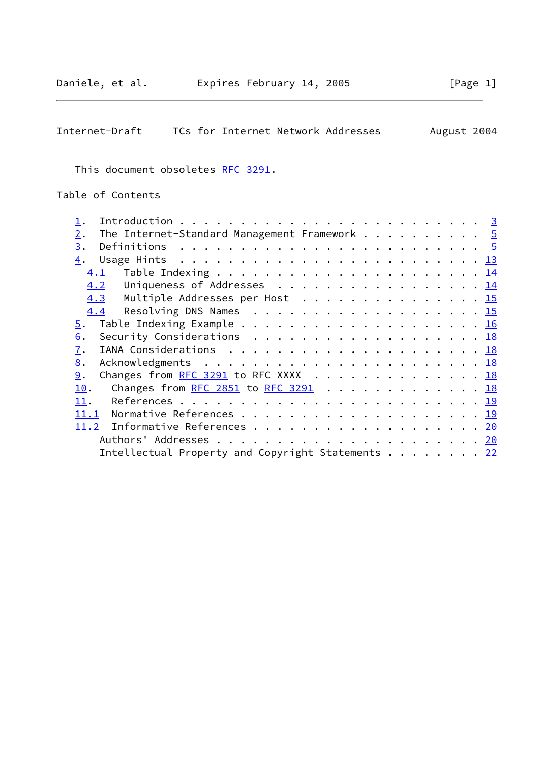This document obsoletes [RFC 3291](https://datatracker.ietf.org/doc/pdf/rfc3291).

# Table of Contents

| The Internet-Standard Management Framework 5<br>2.                                             |  |
|------------------------------------------------------------------------------------------------|--|
| 3.                                                                                             |  |
| 4.<br>Usage Hints $\ldots \ldots \ldots \ldots \ldots \ldots \ldots \ldots \ldots \ldots$      |  |
| 4.1                                                                                            |  |
| 4.2 Uniqueness of Addresses 14                                                                 |  |
| 4.3 Multiple Addresses per Host 15                                                             |  |
| Resolving DNS Names 15<br>4.4                                                                  |  |
| 5.                                                                                             |  |
| Security Considerations $\ldots \ldots \ldots \ldots \ldots \ldots \ldots \frac{18}{18}$<br>6. |  |
| 7.                                                                                             |  |
| 8.                                                                                             |  |
| Changes from RFC 3291 to RFC XXXX 18<br>9.                                                     |  |
| Changes from RFC 2851 to RFC 3291 $\ldots$ 18<br>10.                                           |  |
| 11.                                                                                            |  |
|                                                                                                |  |
| 11.2 Informative References 20                                                                 |  |
|                                                                                                |  |
| Intellectual Property and Copyright Statements 22                                              |  |
|                                                                                                |  |

 $\overline{a}$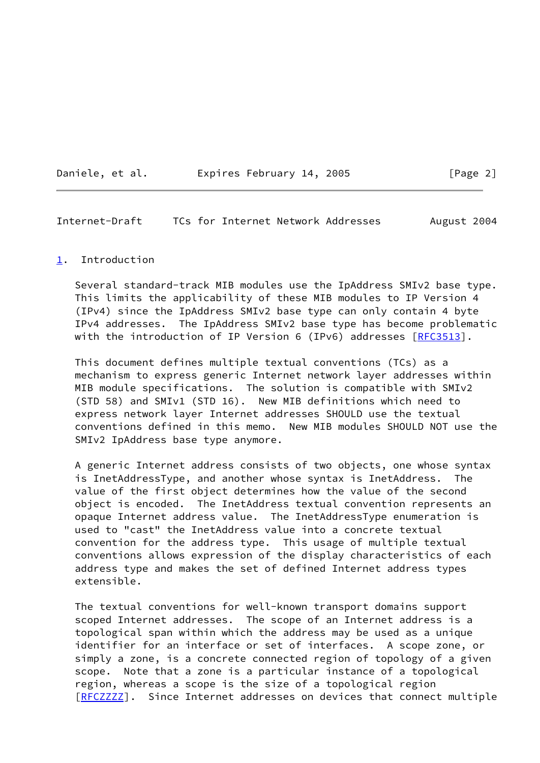Daniele, et al. Expires February 14, 2005 [Page 2]

<span id="page-2-1"></span>Internet-Draft TCs for Internet Network Addresses August 2004

### <span id="page-2-0"></span>[1](#page-2-0). Introduction

 Several standard-track MIB modules use the IpAddress SMIv2 base type. This limits the applicability of these MIB modules to IP Version 4 (IPv4) since the IpAddress SMIv2 base type can only contain 4 byte IPv4 addresses. The IpAddress SMIv2 base type has become problematic with the introduction of IP Version 6 (IPv6) addresses [\[RFC3513](https://datatracker.ietf.org/doc/pdf/rfc3513)].

 This document defines multiple textual conventions (TCs) as a mechanism to express generic Internet network layer addresses within MIB module specifications. The solution is compatible with SMIv2 (STD 58) and SMIv1 (STD 16). New MIB definitions which need to express network layer Internet addresses SHOULD use the textual conventions defined in this memo. New MIB modules SHOULD NOT use the SMIv2 IpAddress base type anymore.

 A generic Internet address consists of two objects, one whose syntax is InetAddressType, and another whose syntax is InetAddress. The value of the first object determines how the value of the second object is encoded. The InetAddress textual convention represents an opaque Internet address value. The InetAddressType enumeration is used to "cast" the InetAddress value into a concrete textual convention for the address type. This usage of multiple textual conventions allows expression of the display characteristics of each address type and makes the set of defined Internet address types extensible.

 The textual conventions for well-known transport domains support scoped Internet addresses. The scope of an Internet address is a topological span within which the address may be used as a unique identifier for an interface or set of interfaces. A scope zone, or simply a zone, is a concrete connected region of topology of a given scope. Note that a zone is a particular instance of a topological region, whereas a scope is the size of a topological region [\[RFCZZZZ](#page-21-3)]. Since Internet addresses on devices that connect multiple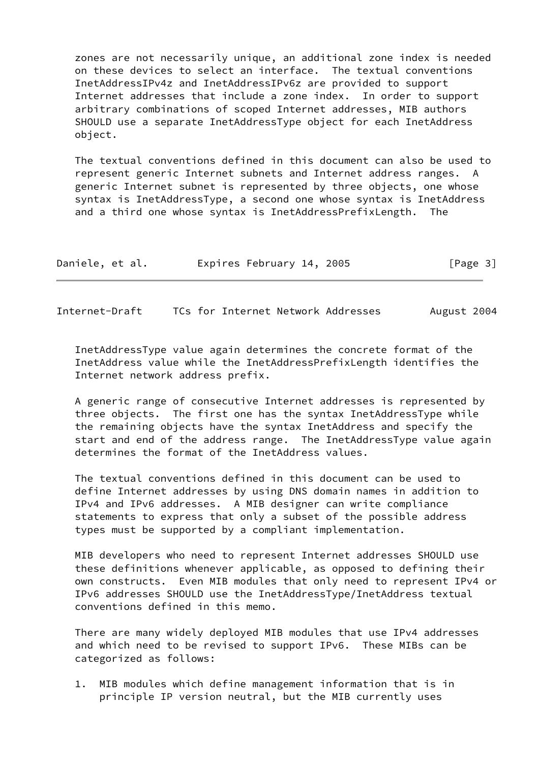zones are not necessarily unique, an additional zone index is needed on these devices to select an interface. The textual conventions InetAddressIPv4z and InetAddressIPv6z are provided to support Internet addresses that include a zone index. In order to support arbitrary combinations of scoped Internet addresses, MIB authors SHOULD use a separate InetAddressType object for each InetAddress object.

 The textual conventions defined in this document can also be used to represent generic Internet subnets and Internet address ranges. A generic Internet subnet is represented by three objects, one whose syntax is InetAddressType, a second one whose syntax is InetAddress and a third one whose syntax is InetAddressPrefixLength. The

| Daniele, et al. |  | Expires February 14, 2005 |  | [Page 3] |
|-----------------|--|---------------------------|--|----------|
|-----------------|--|---------------------------|--|----------|

Internet-Draft TCs for Internet Network Addresses August 2004

 InetAddressType value again determines the concrete format of the InetAddress value while the InetAddressPrefixLength identifies the Internet network address prefix.

 A generic range of consecutive Internet addresses is represented by three objects. The first one has the syntax InetAddressType while the remaining objects have the syntax InetAddress and specify the start and end of the address range. The InetAddressType value again determines the format of the InetAddress values.

 The textual conventions defined in this document can be used to define Internet addresses by using DNS domain names in addition to IPv4 and IPv6 addresses. A MIB designer can write compliance statements to express that only a subset of the possible address types must be supported by a compliant implementation.

 MIB developers who need to represent Internet addresses SHOULD use these definitions whenever applicable, as opposed to defining their own constructs. Even MIB modules that only need to represent IPv4 or IPv6 addresses SHOULD use the InetAddressType/InetAddress textual conventions defined in this memo.

 There are many widely deployed MIB modules that use IPv4 addresses and which need to be revised to support IPv6. These MIBs can be categorized as follows:

 1. MIB modules which define management information that is in principle IP version neutral, but the MIB currently uses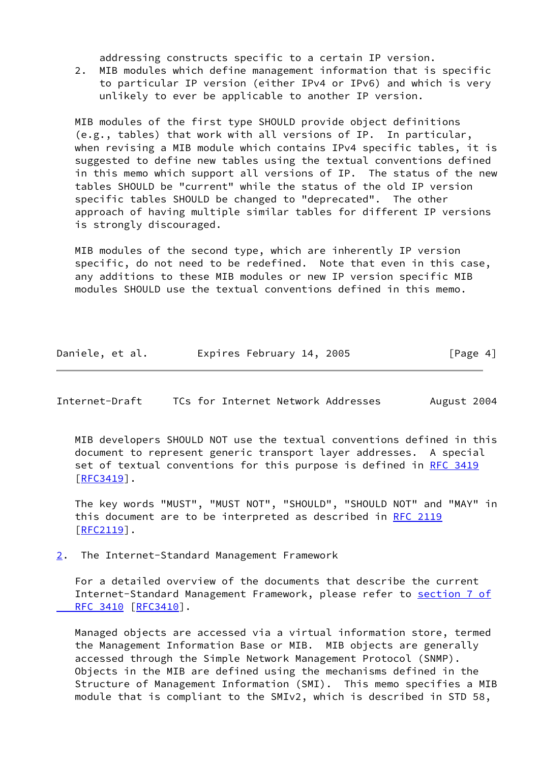addressing constructs specific to a certain IP version.

 2. MIB modules which define management information that is specific to particular IP version (either IPv4 or IPv6) and which is very unlikely to ever be applicable to another IP version.

 MIB modules of the first type SHOULD provide object definitions (e.g., tables) that work with all versions of IP. In particular, when revising a MIB module which contains IPv4 specific tables, it is suggested to define new tables using the textual conventions defined in this memo which support all versions of IP. The status of the new tables SHOULD be "current" while the status of the old IP version specific tables SHOULD be changed to "deprecated". The other approach of having multiple similar tables for different IP versions is strongly discouraged.

 MIB modules of the second type, which are inherently IP version specific, do not need to be redefined. Note that even in this case, any additions to these MIB modules or new IP version specific MIB modules SHOULD use the textual conventions defined in this memo.

| Daniele, et al. |  | Expires February 14, 2005 |  | [Page 4] |
|-----------------|--|---------------------------|--|----------|
|-----------------|--|---------------------------|--|----------|

<span id="page-4-1"></span>Internet-Draft TCs for Internet Network Addresses August 2004

 MIB developers SHOULD NOT use the textual conventions defined in this document to represent generic transport layer addresses. A special set of textual conventions for this purpose is defined in [RFC 3419](https://datatracker.ietf.org/doc/pdf/rfc3419) [\[RFC3419](https://datatracker.ietf.org/doc/pdf/rfc3419)].

 The key words "MUST", "MUST NOT", "SHOULD", "SHOULD NOT" and "MAY" in this document are to be interpreted as described in [RFC 2119](https://datatracker.ietf.org/doc/pdf/rfc2119) [\[RFC2119](https://datatracker.ietf.org/doc/pdf/rfc2119)].

<span id="page-4-0"></span>[2](#page-4-0). The Internet-Standard Management Framework

 For a detailed overview of the documents that describe the current Internet-Standard Management Framework, please refer to [section](https://datatracker.ietf.org/doc/pdf/rfc3410#section-7) 7 of RFC 3410 [\[RFC3410](https://datatracker.ietf.org/doc/pdf/rfc3410)].

 Managed objects are accessed via a virtual information store, termed the Management Information Base or MIB. MIB objects are generally accessed through the Simple Network Management Protocol (SNMP). Objects in the MIB are defined using the mechanisms defined in the Structure of Management Information (SMI). This memo specifies a MIB module that is compliant to the SMIv2, which is described in STD 58,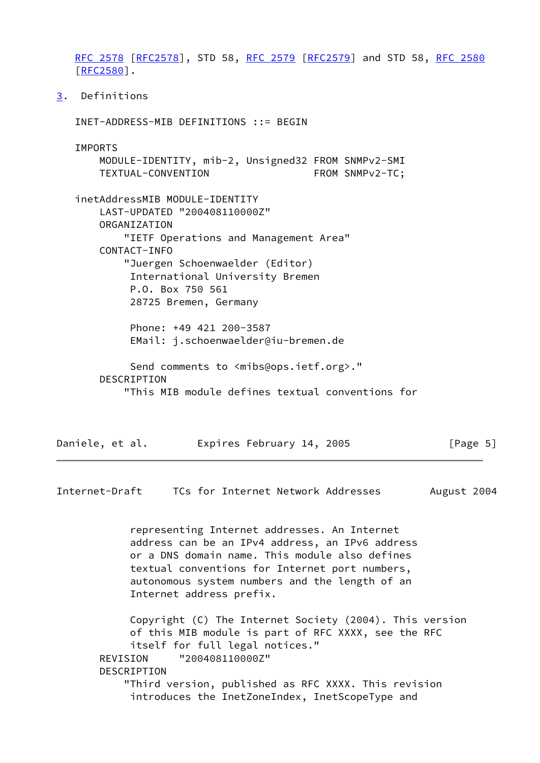[RFC 2578](https://datatracker.ietf.org/doc/pdf/rfc2578) [\[RFC2578](https://datatracker.ietf.org/doc/pdf/rfc2578)], STD 58, [RFC 2579 \[RFC2579](https://datatracker.ietf.org/doc/pdf/rfc2579)] and STD 58, [RFC 2580](https://datatracker.ietf.org/doc/pdf/rfc2580) [\[RFC2580](https://datatracker.ietf.org/doc/pdf/rfc2580)].

<span id="page-5-0"></span>[3](#page-5-0). Definitions

 INET-ADDRESS-MIB DEFINITIONS ::= BEGIN IMPORTS MODULE-IDENTITY, mib-2, Unsigned32 FROM SNMPv2-SMI TEXTUAL-CONVENTION FROM SNMPv2-TC; inetAddressMIB MODULE-IDENTITY LAST-UPDATED "200408110000Z" ORGANIZATION "IETF Operations and Management Area" CONTACT-INFO "Juergen Schoenwaelder (Editor) International University Bremen P.O. Box 750 561 28725 Bremen, Germany Phone: +49 421 200-3587 EMail: j.schoenwaelder@iu-bremen.de Send comments to <mibs@ops.ietf.org>." DESCRIPTION "This MIB module defines textual conventions for

Daniele, et al. **Expires February 14, 2005** [Page 5]

Internet-Draft TCs for Internet Network Addresses August 2004

 representing Internet addresses. An Internet address can be an IPv4 address, an IPv6 address or a DNS domain name. This module also defines textual conventions for Internet port numbers, autonomous system numbers and the length of an Internet address prefix.

 Copyright (C) The Internet Society (2004). This version of this MIB module is part of RFC XXXX, see the RFC itself for full legal notices." REVISION "200408110000Z" DESCRIPTION "Third version, published as RFC XXXX. This revision introduces the InetZoneIndex, InetScopeType and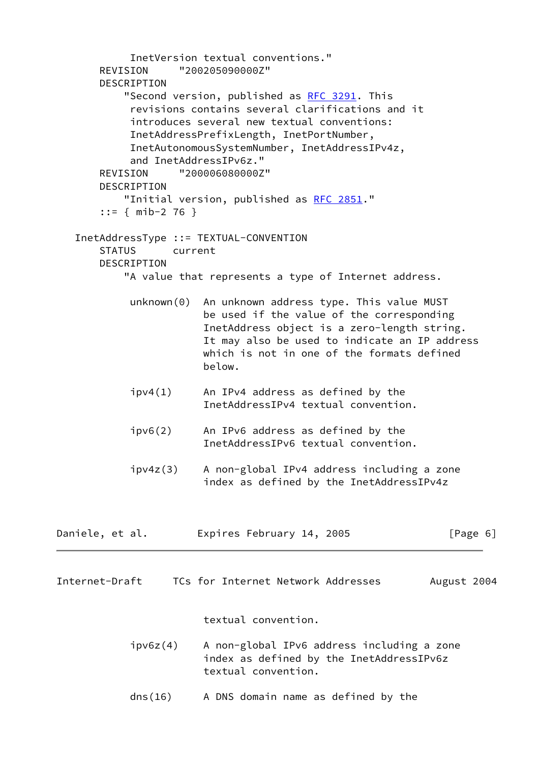```
 InetVersion textual conventions."
       REVISION "200205090000Z"
       DESCRIPTION
           RFC 3291. This
            revisions contains several clarifications and it
            introduces several new textual conventions:
            InetAddressPrefixLength, InetPortNumber,
            InetAutonomousSystemNumber, InetAddressIPv4z,
            and InetAddressIPv6z."
       REVISION "200006080000Z"
       DESCRIPTION
          RFC 2851."
       ::= { mib-2 76 }
   InetAddressType ::= TEXTUAL-CONVENTION
       STATUS current
       DESCRIPTION
           "A value that represents a type of Internet address.
            unknown(0) An unknown address type. This value MUST
                       be used if the value of the corresponding
                       InetAddress object is a zero-length string.
                       It may also be used to indicate an IP address
                       which is not in one of the formats defined
                       below.
            ipv4(1) An IPv4 address as defined by the
                       InetAddressIPv4 textual convention.
            ipv6(2) An IPv6 address as defined by the
                       InetAddressIPv6 textual convention.
            ipv4z(3) A non-global IPv4 address including a zone
                       index as defined by the InetAddressIPv4z
Daniele, et al. 
Expires February 14, 2005

[Page 6]Internet-Draft TCs for Internet Network Addresses August 2004
                       textual convention.
            ipv6z(4) A non-global IPv6 address including a zone
                       index as defined by the InetAddressIPv6z
                       textual convention.
            dns(16) A DNS domain name as defined by the
```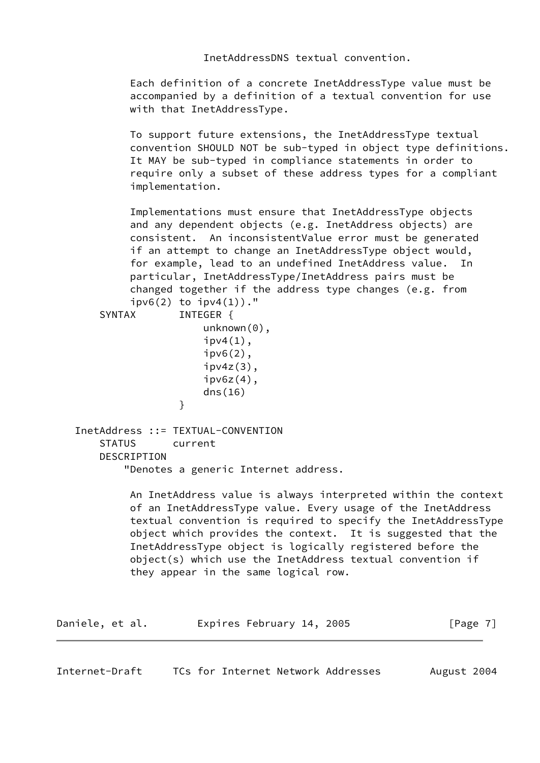InetAddressDNS textual convention.

 Each definition of a concrete InetAddressType value must be accompanied by a definition of a textual convention for use with that InetAddressType.

 To support future extensions, the InetAddressType textual convention SHOULD NOT be sub-typed in object type definitions. It MAY be sub-typed in compliance statements in order to require only a subset of these address types for a compliant implementation.

 Implementations must ensure that InetAddressType objects and any dependent objects (e.g. InetAddress objects) are consistent. An inconsistentValue error must be generated if an attempt to change an InetAddressType object would, for example, lead to an undefined InetAddress value. In particular, InetAddressType/InetAddress pairs must be changed together if the address type changes (e.g. from  $ipv6(2)$  to  $ipv4(1)$ )."

```
SYNTAX INTEGER {
                      unknown(0),
                     ipv4(1),
                      ipv6(2),
                     ipv4z(3),
                     ipv6z(4),
                      dns(16)
 }
   InetAddress ::= TEXTUAL-CONVENTION
      STATUS current
```
DESCRIPTION

"Denotes a generic Internet address.

 An InetAddress value is always interpreted within the context of an InetAddressType value. Every usage of the InetAddress textual convention is required to specify the InetAddressType object which provides the context. It is suggested that the InetAddressType object is logically registered before the object(s) which use the InetAddress textual convention if they appear in the same logical row.

Daniele, et al. **Expires February 14, 2005** [Page 7]

Internet-Draft TCs for Internet Network Addresses August 2004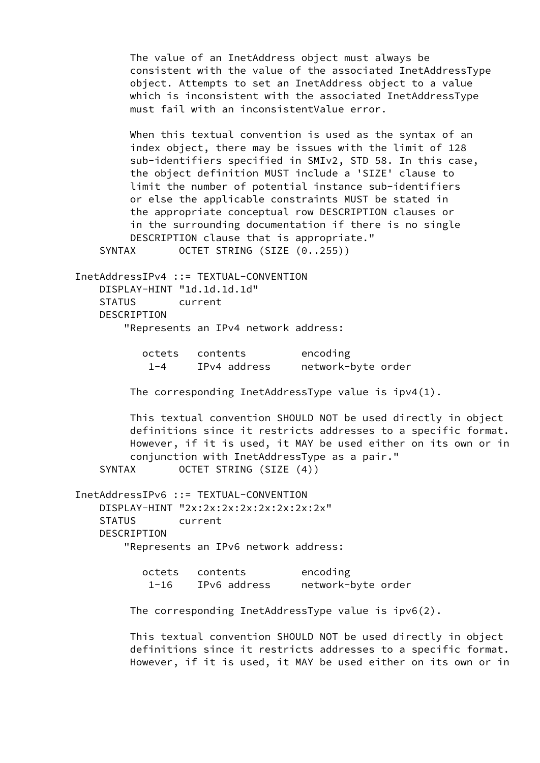The value of an InetAddress object must always be consistent with the value of the associated InetAddressType object. Attempts to set an InetAddress object to a value which is inconsistent with the associated InetAddressType must fail with an inconsistentValue error.

 When this textual convention is used as the syntax of an index object, there may be issues with the limit of 128 sub-identifiers specified in SMIv2, STD 58. In this case, the object definition MUST include a 'SIZE' clause to limit the number of potential instance sub-identifiers or else the applicable constraints MUST be stated in the appropriate conceptual row DESCRIPTION clauses or in the surrounding documentation if there is no single DESCRIPTION clause that is appropriate." SYNTAX OCTET STRING (SIZE (0..255))

 InetAddressIPv4 ::= TEXTUAL-CONVENTION DISPLAY-HINT "1d.1d.1d.1d" STATUS current DESCRIPTION "Represents an IPv4 network address:

|       | octets contents | encoding           |
|-------|-----------------|--------------------|
| 1 – 4 | IPv4 address    | network-byte order |

The corresponding InetAddressType value is ipv4(1).

 This textual convention SHOULD NOT be used directly in object definitions since it restricts addresses to a specific format. However, if it is used, it MAY be used either on its own or in conjunction with InetAddressType as a pair." SYNTAX OCTET STRING (SIZE (4))

 InetAddressIPv6 ::= TEXTUAL-CONVENTION DISPLAY-HINT "2x:2x:2x:2x:2x:2x:2x:2x" STATUS current DESCRIPTION "Represents an IPv6 network address:

|      | octets contents | encoding           |
|------|-----------------|--------------------|
| 1-16 | IPv6 address    | network-byte order |

The corresponding InetAddressType value is ipv6(2).

 This textual convention SHOULD NOT be used directly in object definitions since it restricts addresses to a specific format. However, if it is used, it MAY be used either on its own or in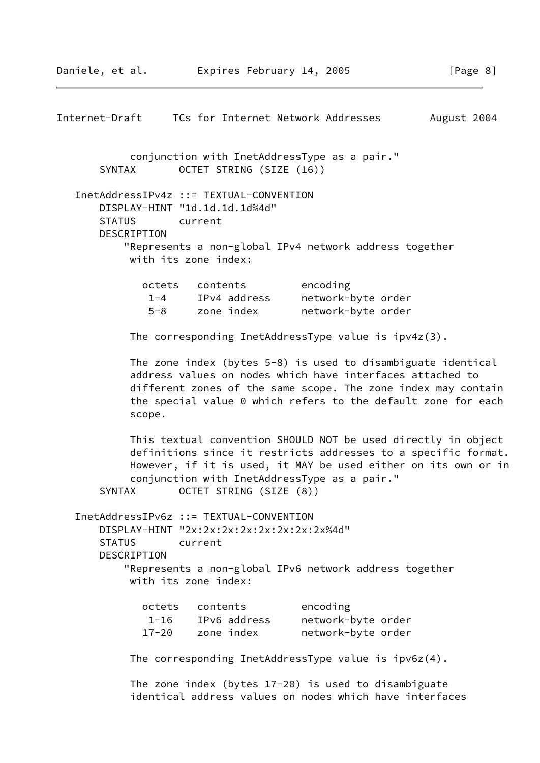Internet-Draft TCs for Internet Network Addresses August 2004 conjunction with InetAddressType as a pair." SYNTAX OCTET STRING (SIZE (16)) InetAddressIPv4z ::= TEXTUAL-CONVENTION DISPLAY-HINT "1d.1d.1d.1d%4d" STATUS current DESCRIPTION "Represents a non-global IPv4 network address together with its zone index: octets contents encoding 1-4 IPv4 address network-byte order 5-8 zone index network-byte order The corresponding InetAddressType value is ipv4z(3). The zone index (bytes 5-8) is used to disambiguate identical address values on nodes which have interfaces attached to different zones of the same scope. The zone index may contain the special value 0 which refers to the default zone for each scope. This textual convention SHOULD NOT be used directly in object definitions since it restricts addresses to a specific format. However, if it is used, it MAY be used either on its own or in conjunction with InetAddressType as a pair." SYNTAX OCTET STRING (SIZE (8)) InetAddressIPv6z ::= TEXTUAL-CONVENTION DISPLAY-HINT "2x:2x:2x:2x:2x:2x:2x:2x%4d" STATUS current DESCRIPTION "Represents a non-global IPv6 network address together with its zone index: octets contents encoding 1-16 IPv6 address network-byte order 17-20 zone index network-byte order The corresponding InetAddressType value is ipv6z(4). The zone index (bytes 17-20) is used to disambiguate identical address values on nodes which have interfaces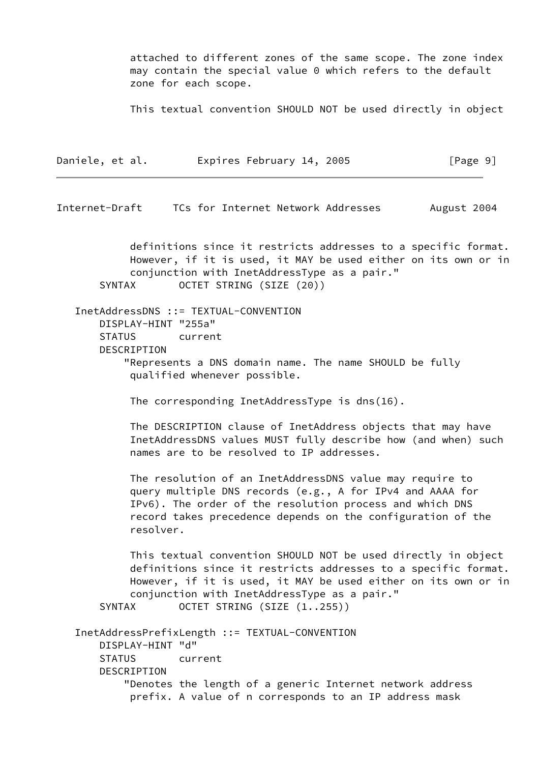attached to different zones of the same scope. The zone index may contain the special value 0 which refers to the default zone for each scope.

This textual convention SHOULD NOT be used directly in object

| Daniele, et al. |  | Expires February 14, 2005 |  |  | [Page 9] |  |
|-----------------|--|---------------------------|--|--|----------|--|
|-----------------|--|---------------------------|--|--|----------|--|

Internet-Draft TCs for Internet Network Addresses August 2004

 definitions since it restricts addresses to a specific format. However, if it is used, it MAY be used either on its own or in conjunction with InetAddressType as a pair." SYNTAX OCTET STRING (SIZE (20))

 InetAddressDNS ::= TEXTUAL-CONVENTION DISPLAY-HINT "255a" STATUS current DESCRIPTION "Represents a DNS domain name. The name SHOULD be fully qualified whenever possible. The corresponding InetAddressType is dns(16). The DESCRIPTION clause of InetAddress objects that may have InetAddressDNS values MUST fully describe how (and when) such names are to be resolved to IP addresses. The resolution of an InetAddressDNS value may require to

 query multiple DNS records (e.g., A for IPv4 and AAAA for IPv6). The order of the resolution process and which DNS record takes precedence depends on the configuration of the resolver.

 This textual convention SHOULD NOT be used directly in object definitions since it restricts addresses to a specific format. However, if it is used, it MAY be used either on its own or in conjunction with InetAddressType as a pair." SYNTAX OCTET STRING (SIZE  $(1..255)$ )

 InetAddressPrefixLength ::= TEXTUAL-CONVENTION DISPLAY-HINT "d" STATUS current DESCRIPTION "Denotes the length of a generic Internet network address prefix. A value of n corresponds to an IP address mask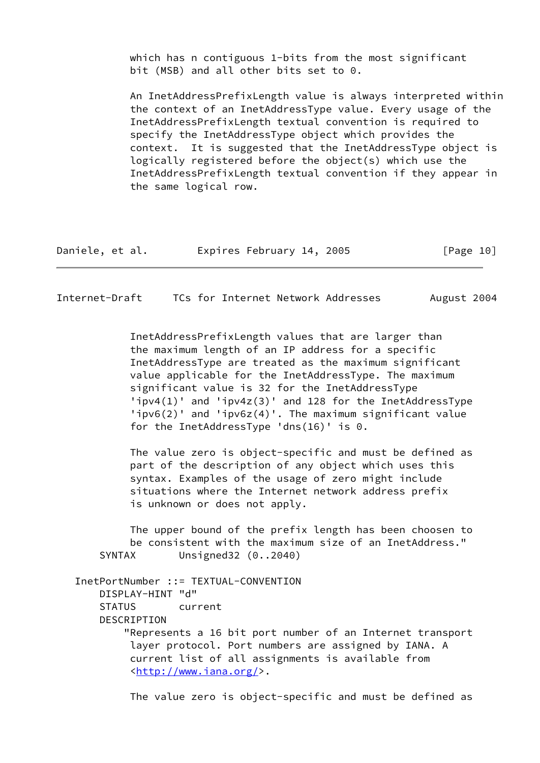which has n contiguous 1-bits from the most significant bit (MSB) and all other bits set to 0.

 An InetAddressPrefixLength value is always interpreted within the context of an InetAddressType value. Every usage of the InetAddressPrefixLength textual convention is required to specify the InetAddressType object which provides the context. It is suggested that the InetAddressType object is logically registered before the object(s) which use the InetAddressPrefixLength textual convention if they appear in the same logical row.

| Daniele, et al. |  | Expires February 14, 2005 |  | [Page 10] |
|-----------------|--|---------------------------|--|-----------|
|-----------------|--|---------------------------|--|-----------|

Internet-Draft TCs for Internet Network Addresses August 2004

 InetAddressPrefixLength values that are larger than the maximum length of an IP address for a specific InetAddressType are treated as the maximum significant value applicable for the InetAddressType. The maximum significant value is 32 for the InetAddressType 'ipv4(1)' and 'ipv4z(3)' and 128 for the InetAddressType 'ipv6(2)' and 'ipv6z(4)'. The maximum significant value for the InetAddressType 'dns(16)' is 0.

 The value zero is object-specific and must be defined as part of the description of any object which uses this syntax. Examples of the usage of zero might include situations where the Internet network address prefix is unknown or does not apply.

 The upper bound of the prefix length has been choosen to be consistent with the maximum size of an InetAddress." SYNTAX Unsigned32 (0..2040)

```
 InetPortNumber ::= TEXTUAL-CONVENTION
    DISPLAY-HINT "d"
    STATUS current
    DESCRIPTION
         "Represents a 16 bit port number of an Internet transport
          layer protocol. Port numbers are assigned by IANA. A
          current list of all assignments is available from
          <http://www.iana.org/>.
```
The value zero is object-specific and must be defined as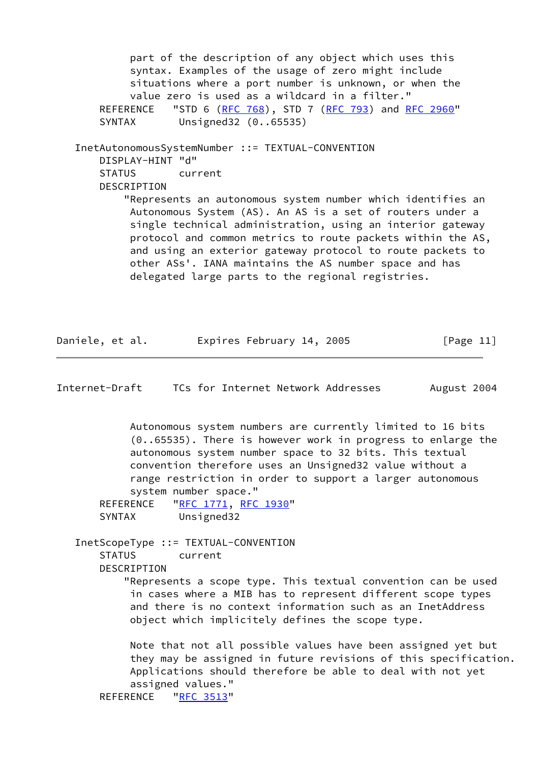part of the description of any object which uses this syntax. Examples of the usage of zero might include situations where a port number is unknown, or when the value zero is used as a wildcard in a filter." REFERENCE "STD 6 [\(RFC 768](https://datatracker.ietf.org/doc/pdf/rfc768)), STD 7 [\(RFC 793](https://datatracker.ietf.org/doc/pdf/rfc793)) and [RFC 2960](https://datatracker.ietf.org/doc/pdf/rfc2960)" SYNTAX Unsigned32 (0..65535) InetAutonomousSystemNumber ::= TEXTUAL-CONVENTION DISPLAY-HINT "d" STATUS current **DESCRIPTION**  "Represents an autonomous system number which identifies an Autonomous System (AS). An AS is a set of routers under a single technical administration, using an interior gateway protocol and common metrics to route packets within the AS, and using an exterior gateway protocol to route packets to other ASs'. IANA maintains the AS number space and has delegated large parts to the regional registries.

| Daniele, et al. | Expires February 14, 2005 |  | [Page 11] |
|-----------------|---------------------------|--|-----------|
|-----------------|---------------------------|--|-----------|

Internet-Draft TCs for Internet Network Addresses August 2004

 Autonomous system numbers are currently limited to 16 bits (0..65535). There is however work in progress to enlarge the autonomous system number space to 32 bits. This textual convention therefore uses an Unsigned32 value without a range restriction in order to support a larger autonomous system number space."

REFERENCE ["RFC 1771](https://datatracker.ietf.org/doc/pdf/rfc1771), [RFC 1930"](https://datatracker.ietf.org/doc/pdf/rfc1930) SYNTAX Unsigned32

 InetScopeType ::= TEXTUAL-CONVENTION STATUS current

DESCRIPTION

 "Represents a scope type. This textual convention can be used in cases where a MIB has to represent different scope types and there is no context information such as an InetAddress object which implicitely defines the scope type.

 Note that not all possible values have been assigned yet but they may be assigned in future revisions of this specification. Applications should therefore be able to deal with not yet assigned values."

REFERENCE ["RFC 3513](https://datatracker.ietf.org/doc/pdf/rfc3513)"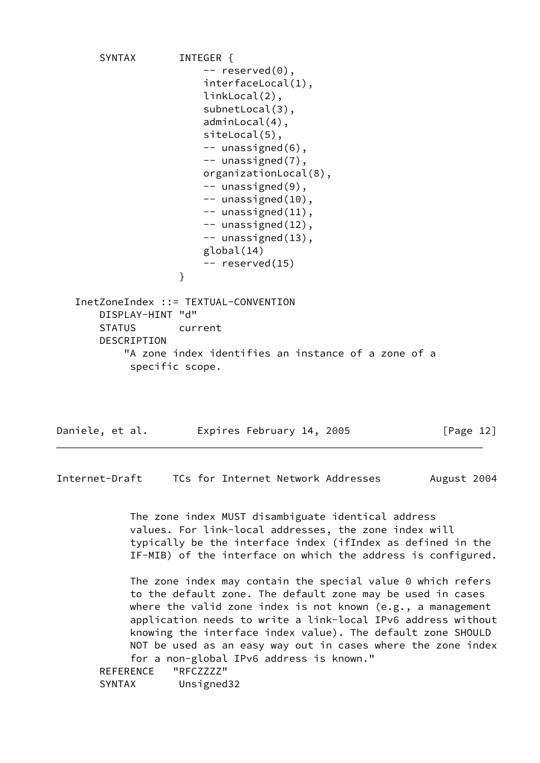```
SYNTAX INTEGER {
                         -- reserved(0),
                         interfaceLocal(1),
                         linkLocal(2),
                         subnetLocal(3),
                         adminLocal(4),
                         siteLocal(5),
                         -- unassigned(6),
                         -- unassigned(7),
                         organizationLocal(8),
                         -- unassigned(9),
                         -- unassigned(10),
                         -- unassigned(11),
                         -- unassigned(12),
                         -- unassigned(13),
                         global(14)
                         -- reserved(15)
 }
   InetZoneIndex ::= TEXTUAL-CONVENTION
       DISPLAY-HINT "d"
       STATUS current
       DESCRIPTION
            "A zone index identifies an instance of a zone of a
             specific scope.
```

| Daniele, et al. | Expires February 14, 2005 |  | [Page 12] |  |
|-----------------|---------------------------|--|-----------|--|
|                 |                           |  |           |  |

<span id="page-13-0"></span>Internet-Draft TCs for Internet Network Addresses August 2004

 The zone index MUST disambiguate identical address values. For link-local addresses, the zone index will typically be the interface index (ifIndex as defined in the IF-MIB) of the interface on which the address is configured.

The zone index may contain the special value 0 which refers to the default zone. The default zone may be used in cases where the valid zone index is not known (e.g., a management application needs to write a link-local IPv6 address without knowing the interface index value). The default zone SHOULD NOT be used as an easy way out in cases where the zone index for a non-global IPv6 address is known." REFERENCE "RFCZZZZ" SYNTAX Unsigned32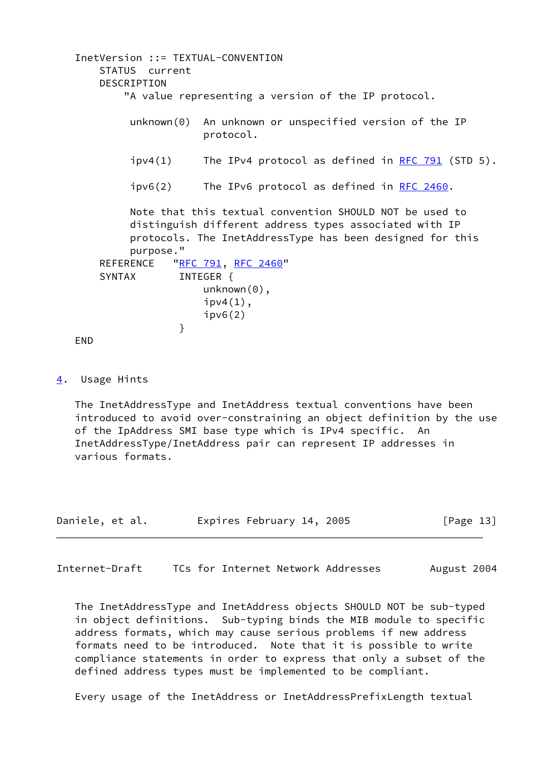```
 InetVersion ::= TEXTUAL-CONVENTION
       STATUS current
       DESCRIPTION
           "A value representing a version of the IP protocol.
            unknown(0) An unknown or unspecified version of the IP
                       protocol.
           ipv4(1) The IPv4 protocol as defined in RFC 791 (STD 5).
            ipv6(2) The IPv6 protocol as defined in RFC 2460.
            Note that this textual convention SHOULD NOT be used to
            distinguish different address types associated with IP
            protocols. The InetAddressType has been designed for this
            purpose."
      "RFC 791 RFC 2460"
      SYNTAX INTEGER {
                      unknown(0),
                      ipv4(1),
                      ipv6(2) }
   END
```
<span id="page-14-0"></span>[4](#page-14-0). Usage Hints

 The InetAddressType and InetAddress textual conventions have been introduced to avoid over-constraining an object definition by the use of the IpAddress SMI base type which is IPv4 specific. An InetAddressType/InetAddress pair can represent IP addresses in various formats.

| Daniele, et al. | Expires February 14, 2005 | [Page 13] |
|-----------------|---------------------------|-----------|
|-----------------|---------------------------|-----------|

<span id="page-14-1"></span>Internet-Draft TCs for Internet Network Addresses August 2004

 The InetAddressType and InetAddress objects SHOULD NOT be sub-typed in object definitions. Sub-typing binds the MIB module to specific address formats, which may cause serious problems if new address formats need to be introduced. Note that it is possible to write compliance statements in order to express that only a subset of the defined address types must be implemented to be compliant.

Every usage of the InetAddress or InetAddressPrefixLength textual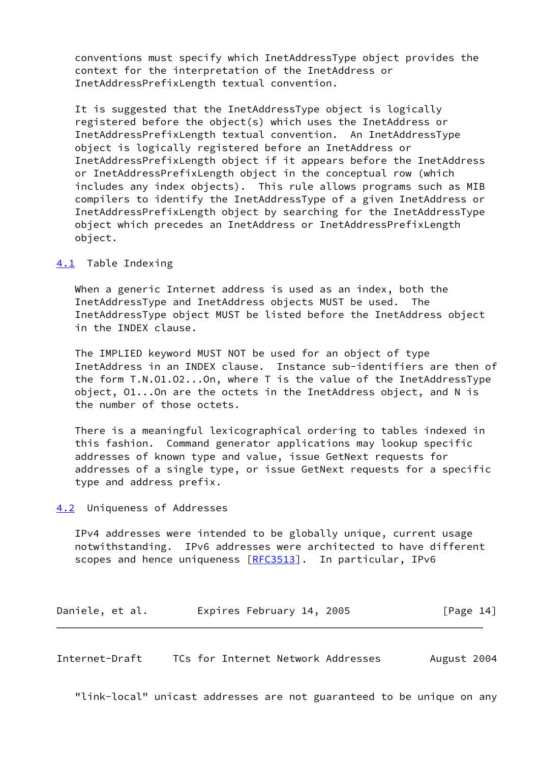conventions must specify which InetAddressType object provides the context for the interpretation of the InetAddress or InetAddressPrefixLength textual convention.

 It is suggested that the InetAddressType object is logically registered before the object(s) which uses the InetAddress or InetAddressPrefixLength textual convention. An InetAddressType object is logically registered before an InetAddress or InetAddressPrefixLength object if it appears before the InetAddress or InetAddressPrefixLength object in the conceptual row (which includes any index objects). This rule allows programs such as MIB compilers to identify the InetAddressType of a given InetAddress or InetAddressPrefixLength object by searching for the InetAddressType object which precedes an InetAddress or InetAddressPrefixLength object.

#### <span id="page-15-0"></span>[4.1](#page-15-0) Table Indexing

 When a generic Internet address is used as an index, both the InetAddressType and InetAddress objects MUST be used. The InetAddressType object MUST be listed before the InetAddress object in the INDEX clause.

 The IMPLIED keyword MUST NOT be used for an object of type InetAddress in an INDEX clause. Instance sub-identifiers are then of the form T.N.O1.O2...On, where T is the value of the InetAddressType object, O1...On are the octets in the InetAddress object, and N is the number of those octets.

 There is a meaningful lexicographical ordering to tables indexed in this fashion. Command generator applications may lookup specific addresses of known type and value, issue GetNext requests for addresses of a single type, or issue GetNext requests for a specific type and address prefix.

<span id="page-15-1"></span>[4.2](#page-15-1) Uniqueness of Addresses

 IPv4 addresses were intended to be globally unique, current usage notwithstanding. IPv6 addresses were architected to have different scopes and hence uniqueness [\[RFC3513](https://datatracker.ietf.org/doc/pdf/rfc3513)]. In particular, IPv6

Daniele, et al. 
Expires February 14, 2005

[Page 14]

<span id="page-15-2"></span>Internet-Draft TCs for Internet Network Addresses August 2004

"link-local" unicast addresses are not guaranteed to be unique on any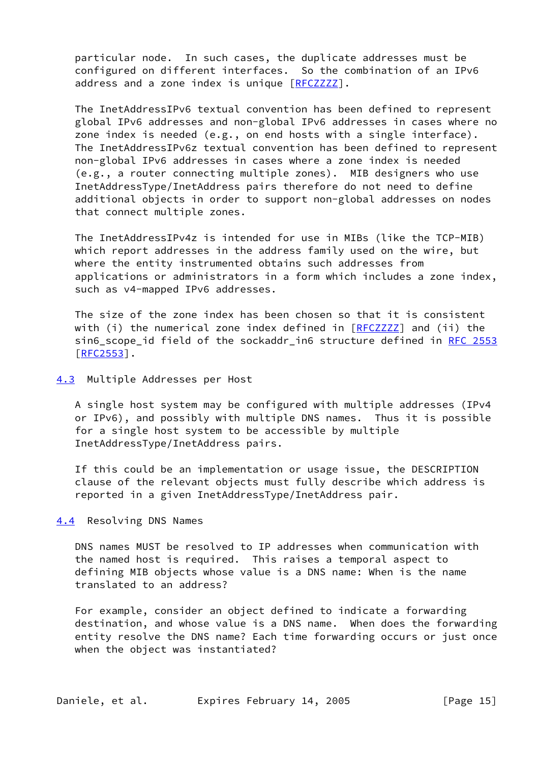particular node. In such cases, the duplicate addresses must be configured on different interfaces. So the combination of an IPv6 address and a zone index is unique [[RFCZZZZ\]](#page-21-3).

 The InetAddressIPv6 textual convention has been defined to represent global IPv6 addresses and non-global IPv6 addresses in cases where no zone index is needed (e.g., on end hosts with a single interface). The InetAddressIPv6z textual convention has been defined to represent non-global IPv6 addresses in cases where a zone index is needed (e.g., a router connecting multiple zones). MIB designers who use InetAddressType/InetAddress pairs therefore do not need to define additional objects in order to support non-global addresses on nodes that connect multiple zones.

 The InetAddressIPv4z is intended for use in MIBs (like the TCP-MIB) which report addresses in the address family used on the wire, but where the entity instrumented obtains such addresses from applications or administrators in a form which includes a zone index, such as v4-mapped IPv6 addresses.

 The size of the zone index has been chosen so that it is consistent with (i) the numerical zone index defined in  $[REZZZZ]$  and (ii) the sin6\_scope\_id field of the sockaddr\_in6 structure defined in [RFC 2553](https://datatracker.ietf.org/doc/pdf/rfc2553) [\[RFC2553](https://datatracker.ietf.org/doc/pdf/rfc2553)].

### <span id="page-16-0"></span>[4.3](#page-16-0) Multiple Addresses per Host

 A single host system may be configured with multiple addresses (IPv4 or IPv6), and possibly with multiple DNS names. Thus it is possible for a single host system to be accessible by multiple InetAddressType/InetAddress pairs.

 If this could be an implementation or usage issue, the DESCRIPTION clause of the relevant objects must fully describe which address is reported in a given InetAddressType/InetAddress pair.

#### <span id="page-16-1"></span>[4.4](#page-16-1) Resolving DNS Names

 DNS names MUST be resolved to IP addresses when communication with the named host is required. This raises a temporal aspect to defining MIB objects whose value is a DNS name: When is the name translated to an address?

 For example, consider an object defined to indicate a forwarding destination, and whose value is a DNS name. When does the forwarding entity resolve the DNS name? Each time forwarding occurs or just once when the object was instantiated?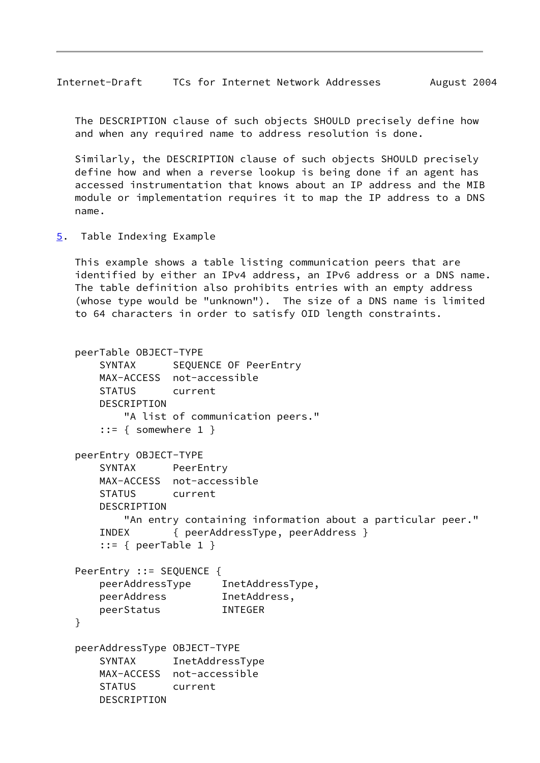<span id="page-17-1"></span> The DESCRIPTION clause of such objects SHOULD precisely define how and when any required name to address resolution is done.

 Similarly, the DESCRIPTION clause of such objects SHOULD precisely define how and when a reverse lookup is being done if an agent has accessed instrumentation that knows about an IP address and the MIB module or implementation requires it to map the IP address to a DNS name.

<span id="page-17-0"></span>[5](#page-17-0). Table Indexing Example

 This example shows a table listing communication peers that are identified by either an IPv4 address, an IPv6 address or a DNS name. The table definition also prohibits entries with an empty address (whose type would be "unknown"). The size of a DNS name is limited to 64 characters in order to satisfy OID length constraints.

```
 peerTable OBJECT-TYPE
    SYNTAX SEQUENCE OF PeerEntry
    MAX-ACCESS not-accessible
    STATUS current
    DESCRIPTION
        "A list of communication peers."
    ::= { somewhere 1 }
 peerEntry OBJECT-TYPE
    SYNTAX PeerEntry
    MAX-ACCESS not-accessible
    STATUS current
    DESCRIPTION
        "An entry containing information about a particular peer."
    INDEX { peerAddressType, peerAddress }
    ::= { peerTable 1 }
 PeerEntry ::= SEQUENCE {
    peerAddressType InetAddressType,
    peerAddress InetAddress,
    peerStatus INTEGER
 }
 peerAddressType OBJECT-TYPE
    SYNTAX InetAddressType
    MAX-ACCESS not-accessible
    STATUS current
    DESCRIPTION
```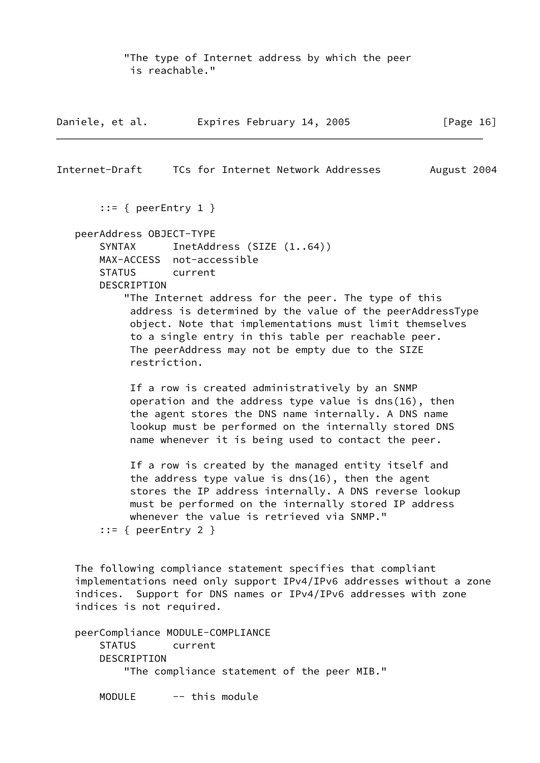"The type of Internet address by which the peer is reachable."

| Daniele, et al. | Expires February 14, 2005 | [Page 16] |  |
|-----------------|---------------------------|-----------|--|
|                 |                           |           |  |

Internet-Draft TCs for Internet Network Addresses August 2004

 $::=$  { peerEntry 1 }

 peerAddress OBJECT-TYPE SYNTAX InetAddress (SIZE  $(1..64)$ ) MAX-ACCESS not-accessible STATUS current DESCRIPTION "The Internet address for the peer. The type of this address is determined by the value of the peerAddressType object. Note that implementations must limit themselves to a single entry in this table per reachable peer. The peerAddress may not be empty due to the SIZE restriction. If a row is created administratively by an SNMP operation and the address type value is dns(16), then the agent stores the DNS name internally. A DNS name lookup must be performed on the internally stored DNS name whenever it is being used to contact the peer. If a row is created by the managed entity itself and the address type value is dns(16), then the agent stores the IP address internally. A DNS reverse lookup must be performed on the internally stored IP address whenever the value is retrieved via SNMP."  $::=$  { peerEntry 2 } The following compliance statement specifies that compliant

 implementations need only support IPv4/IPv6 addresses without a zone indices. Support for DNS names or IPv4/IPv6 addresses with zone indices is not required.

 peerCompliance MODULE-COMPLIANCE STATUS current DESCRIPTION "The compliance statement of the peer MIB."

MODULE -- this module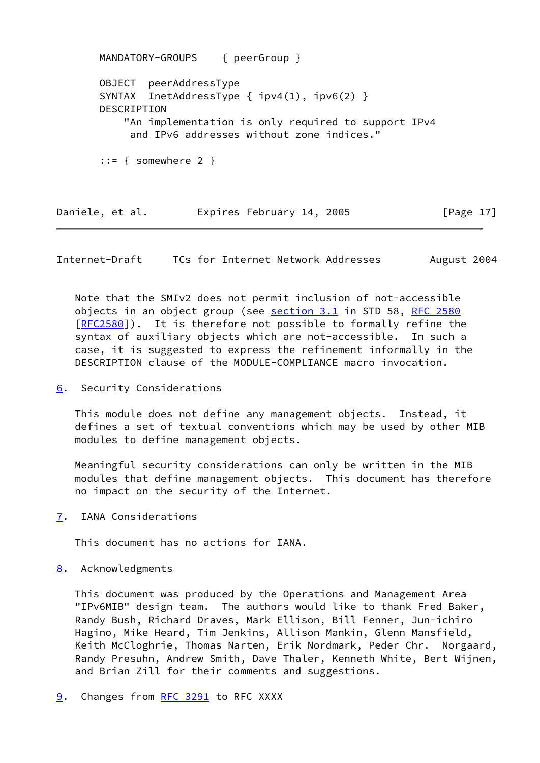MANDATORY-GROUPS { peerGroup } OBJECT peerAddressType SYNTAX InetAddressType {  $ipv4(1)$ ,  $ipv6(2)$  } DESCRIPTION "An implementation is only required to support IPv4 and IPv6 addresses without zone indices." ::= { somewhere 2 }

<span id="page-19-1"></span>Internet-Draft TCs for Internet Network Addresses August 2004

Daniele, et al. 
Expires February 14, 2005

[Page 17]

 Note that the SMIv2 does not permit inclusion of not-accessible objects in an object group (see section 3.1 in STD 58, [RFC 2580](https://datatracker.ietf.org/doc/pdf/rfc2580) [\[RFC2580](https://datatracker.ietf.org/doc/pdf/rfc2580)]). It is therefore not possible to formally refine the syntax of auxiliary objects which are not-accessible. In such a case, it is suggested to express the refinement informally in the DESCRIPTION clause of the MODULE-COMPLIANCE macro invocation.

<span id="page-19-0"></span>[6](#page-19-0). Security Considerations

 This module does not define any management objects. Instead, it defines a set of textual conventions which may be used by other MIB modules to define management objects.

 Meaningful security considerations can only be written in the MIB modules that define management objects. This document has therefore no impact on the security of the Internet.

<span id="page-19-2"></span>[7](#page-19-2). IANA Considerations

This document has no actions for IANA.

<span id="page-19-3"></span>[8](#page-19-3). Acknowledgments

 This document was produced by the Operations and Management Area "IPv6MIB" design team. The authors would like to thank Fred Baker, Randy Bush, Richard Draves, Mark Ellison, Bill Fenner, Jun-ichiro Hagino, Mike Heard, Tim Jenkins, Allison Mankin, Glenn Mansfield, Keith McCloghrie, Thomas Narten, Erik Nordmark, Peder Chr. Norgaard, Randy Presuhn, Andrew Smith, Dave Thaler, Kenneth White, Bert Wijnen, and Brian Zill for their comments and suggestions.

<span id="page-19-4"></span>[9](#page-19-4). Changes from [RFC 3291](https://datatracker.ietf.org/doc/pdf/rfc3291) to RFC XXXX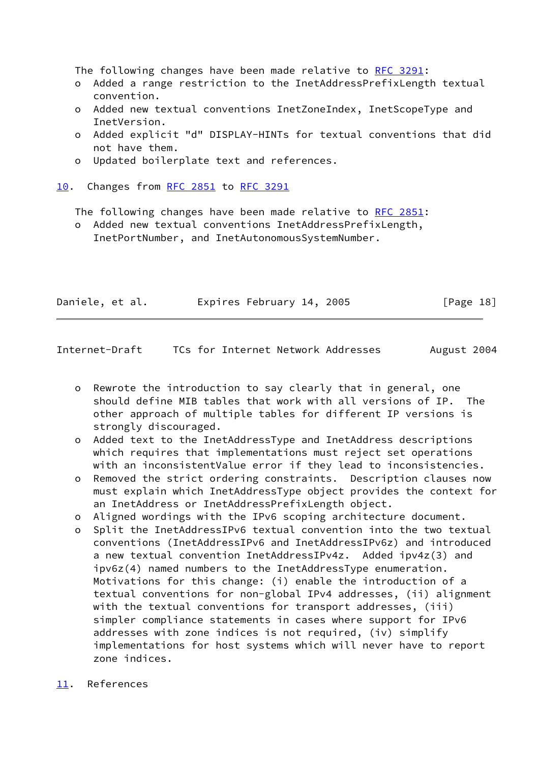The following changes have been made relative to [RFC 3291](https://datatracker.ietf.org/doc/pdf/rfc3291):

- o Added a range restriction to the InetAddressPrefixLength textual convention.
- o Added new textual conventions InetZoneIndex, InetScopeType and InetVersion.
- o Added explicit "d" DISPLAY-HINTs for textual conventions that did not have them.
- o Updated boilerplate text and references.

### <span id="page-20-0"></span>[10.](#page-20-0) Changes from [RFC 2851](https://datatracker.ietf.org/doc/pdf/rfc2851) to [RFC 3291](https://datatracker.ietf.org/doc/pdf/rfc3291)

The following changes have been made relative to [RFC 2851](https://datatracker.ietf.org/doc/pdf/rfc2851):

 o Added new textual conventions InetAddressPrefixLength, InetPortNumber, and InetAutonomousSystemNumber.

| Daniele, et al. | Expires February 14, 2005 | [Page 18] |  |
|-----------------|---------------------------|-----------|--|
|                 |                           |           |  |

<span id="page-20-2"></span>

| Internet-Draft<br>TCs for Internet Network Addresses<br>August 2004 |  |
|---------------------------------------------------------------------|--|
|---------------------------------------------------------------------|--|

- o Rewrote the introduction to say clearly that in general, one should define MIB tables that work with all versions of IP. The other approach of multiple tables for different IP versions is strongly discouraged.
- o Added text to the InetAddressType and InetAddress descriptions which requires that implementations must reject set operations with an inconsistentValue error if they lead to inconsistencies.
- o Removed the strict ordering constraints. Description clauses now must explain which InetAddressType object provides the context for an InetAddress or InetAddressPrefixLength object.
- o Aligned wordings with the IPv6 scoping architecture document.
- o Split the InetAddressIPv6 textual convention into the two textual conventions (InetAddressIPv6 and InetAddressIPv6z) and introduced a new textual convention InetAddressIPv4z. Added ipv4z(3) and ipv6z(4) named numbers to the InetAddressType enumeration. Motivations for this change: (i) enable the introduction of a textual conventions for non-global IPv4 addresses, (ii) alignment with the textual conventions for transport addresses, (iii) simpler compliance statements in cases where support for IPv6 addresses with zone indices is not required, (iv) simplify implementations for host systems which will never have to report zone indices.
- <span id="page-20-1"></span>[11.](#page-20-1) References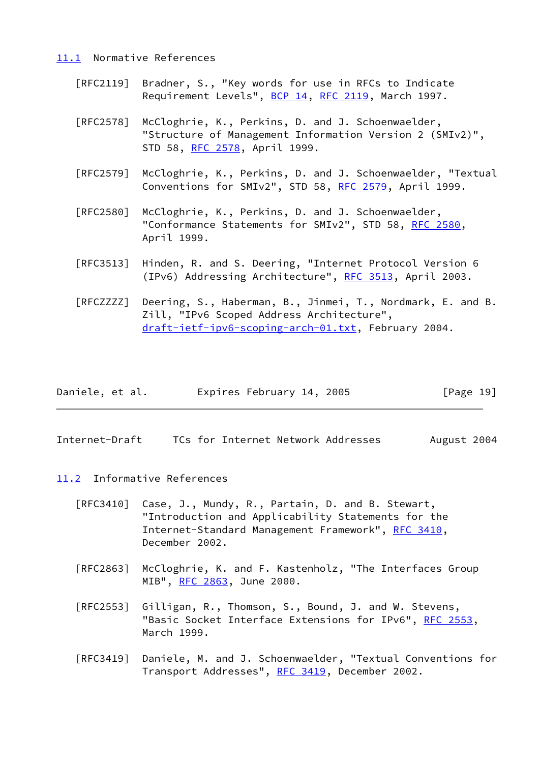<span id="page-21-0"></span>[11.1](#page-21-0) Normative References

- [RFC2119] Bradner, S., "Key words for use in RFCs to Indicate Requirement Levels", [BCP 14](https://datatracker.ietf.org/doc/pdf/bcp14), [RFC 2119](https://datatracker.ietf.org/doc/pdf/rfc2119), March 1997.
- [RFC2578] McCloghrie, K., Perkins, D. and J. Schoenwaelder, "Structure of Management Information Version 2 (SMIv2)", STD 58, [RFC 2578,](https://datatracker.ietf.org/doc/pdf/rfc2578) April 1999.
- [RFC2579] McCloghrie, K., Perkins, D. and J. Schoenwaelder, "Textual Conventions for SMIv2", STD 58, [RFC 2579,](https://datatracker.ietf.org/doc/pdf/rfc2579) April 1999.
- [RFC2580] McCloghrie, K., Perkins, D. and J. Schoenwaelder, "Conformance Statements for SMIv2", STD 58, [RFC 2580,](https://datatracker.ietf.org/doc/pdf/rfc2580) April 1999.
- [RFC3513] Hinden, R. and S. Deering, "Internet Protocol Version 6 (IPv6) Addressing Architecture", [RFC 3513,](https://datatracker.ietf.org/doc/pdf/rfc3513) April 2003.
- <span id="page-21-3"></span> [RFCZZZZ] Deering, S., Haberman, B., Jinmei, T., Nordmark, E. and B. Zill, "IPv6 Scoped Address Architecture", [draft-ietf-ipv6-scoping-arch-01.txt](https://datatracker.ietf.org/doc/pdf/draft-ietf-ipv6-scoping-arch-01.txt), February 2004.

| Daniele, et al. |  | Expires February 14, 2005 |  | [Page 19] |  |
|-----------------|--|---------------------------|--|-----------|--|
|-----------------|--|---------------------------|--|-----------|--|

<span id="page-21-2"></span>Internet-Draft TCs for Internet Network Addresses August 2004

- <span id="page-21-1"></span>[11.2](#page-21-1) Informative References
	- [RFC3410] Case, J., Mundy, R., Partain, D. and B. Stewart, "Introduction and Applicability Statements for the Internet-Standard Management Framework", [RFC 3410,](https://datatracker.ietf.org/doc/pdf/rfc3410) December 2002.
	- [RFC2863] McCloghrie, K. and F. Kastenholz, "The Interfaces Group MIB", [RFC 2863](https://datatracker.ietf.org/doc/pdf/rfc2863), June 2000.
	- [RFC2553] Gilligan, R., Thomson, S., Bound, J. and W. Stevens, "Basic Socket Interface Extensions for IPv6", [RFC 2553](https://datatracker.ietf.org/doc/pdf/rfc2553), March 1999.
	- [RFC3419] Daniele, M. and J. Schoenwaelder, "Textual Conventions for Transport Addresses", [RFC 3419](https://datatracker.ietf.org/doc/pdf/rfc3419), December 2002.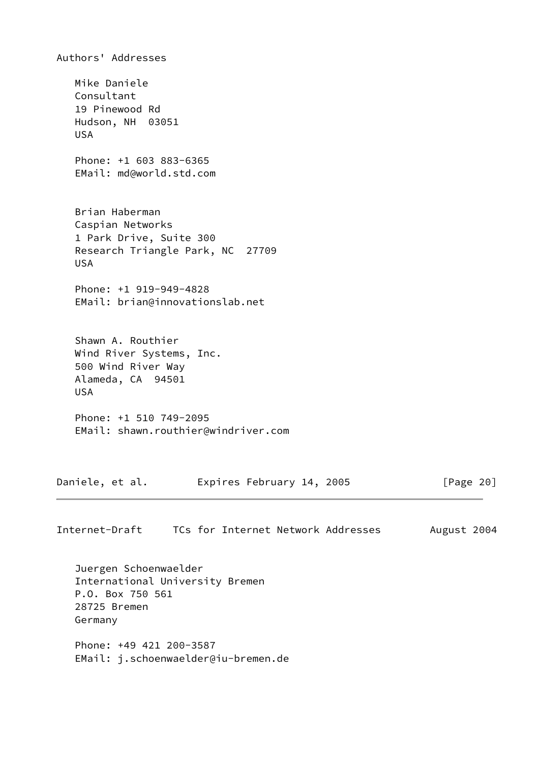Authors' Addresses Mike Daniele Consultant 19 Pinewood Rd Hudson, NH 03051 USA Phone: +1 603 883-6365 EMail: md@world.std.com Brian Haberman Caspian Networks 1 Park Drive, Suite 300 Research Triangle Park, NC 27709 USA Phone: +1 919-949-4828 EMail: brian@innovationslab.net Shawn A. Routhier Wind River Systems, Inc. 500 Wind River Way Alameda, CA 94501 USA Phone: +1 510 749-2095 EMail: shawn.routhier@windriver.com Daniele, et al. 
Expires February 14, 2005

[Page 20] Internet-Draft TCs for Internet Network Addresses August 2004 Juergen Schoenwaelder International University Bremen P.O. Box 750 561

 28725 Bremen Germany

 Phone: +49 421 200-3587 EMail: j.schoenwaelder@iu-bremen.de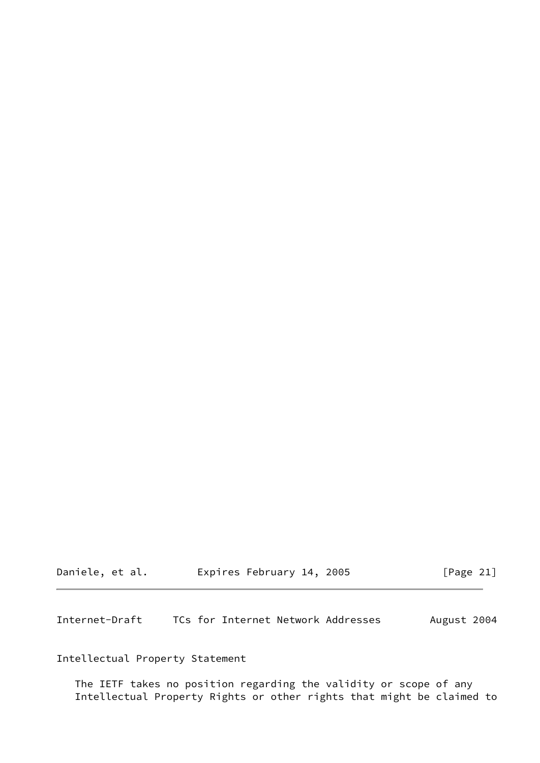| Daniele, et al. |  | Expires February 14, 2005 |  | [Page 21] |
|-----------------|--|---------------------------|--|-----------|
|-----------------|--|---------------------------|--|-----------|

<span id="page-23-0"></span>Internet-Draft TCs for Internet Network Addresses August 2004

Intellectual Property Statement

 The IETF takes no position regarding the validity or scope of any Intellectual Property Rights or other rights that might be claimed to